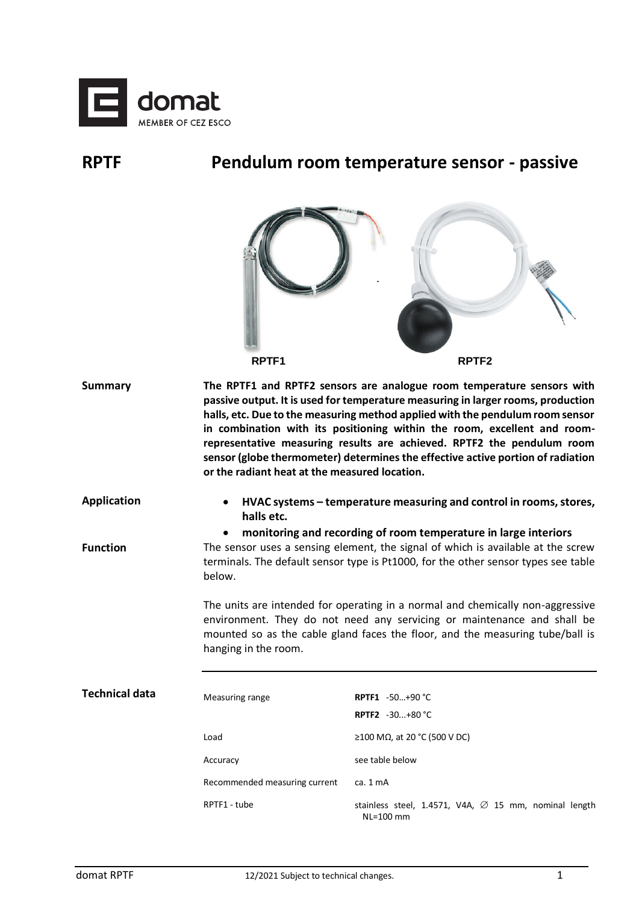

## **RPTF Pendulum room temperature sensor - passive**

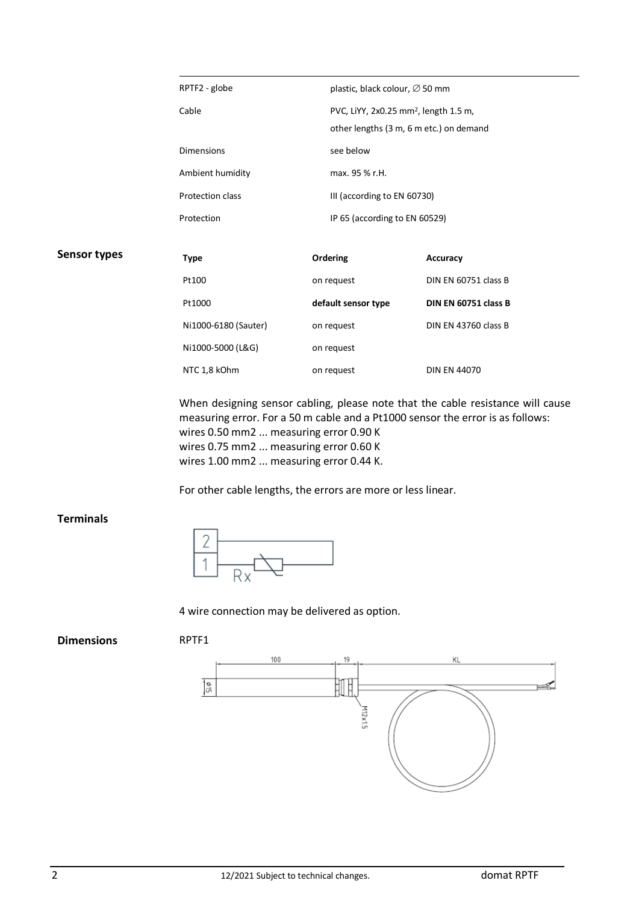|                     | RPTF2 - globe        |                             | plastic, black colour, ∅ 50 mm                                                               |  |
|---------------------|----------------------|-----------------------------|----------------------------------------------------------------------------------------------|--|
|                     | Cable                |                             | PVC, LiYY, 2x0.25 mm <sup>2</sup> , length 1.5 m,<br>other lengths (3 m, 6 m etc.) on demand |  |
|                     | <b>Dimensions</b>    | see below                   |                                                                                              |  |
|                     | Ambient humidity     | max. 95 % r.H.              |                                                                                              |  |
|                     | Protection class     | III (according to EN 60730) |                                                                                              |  |
|                     | Protection           |                             | IP 65 (according to EN 60529)                                                                |  |
| <b>Sensor types</b> |                      |                             |                                                                                              |  |
|                     | <b>Type</b>          | Ordering                    | Accuracy                                                                                     |  |
|                     | Pt100                | on request                  | DIN EN 60751 class B                                                                         |  |
|                     | Pt1000               | default sensor type         | DIN EN 60751 class B                                                                         |  |
|                     | Ni1000-6180 (Sauter) | on request                  | DIN EN 43760 class B                                                                         |  |
|                     | Ni1000-5000 (L&G)    | on request                  |                                                                                              |  |
|                     | NTC 1,8 kOhm         | on request                  | <b>DIN EN 44070</b>                                                                          |  |

When designing sensor cabling, please note that the cable resistance will cause measuring error. For a 50 m cable and a Pt1000 sensor the error is as follows: wires 0.50 mm2 ... measuring error 0.90 K wires 0.75 mm2 ... measuring error 0.60 K wires 1.00 mm2 ... measuring error 0.44 K.

For other cable lengths, the errors are more or less linear.

## **Terminals**



4 wire connection may be delivered as option.

**Dimensions** RPTF1



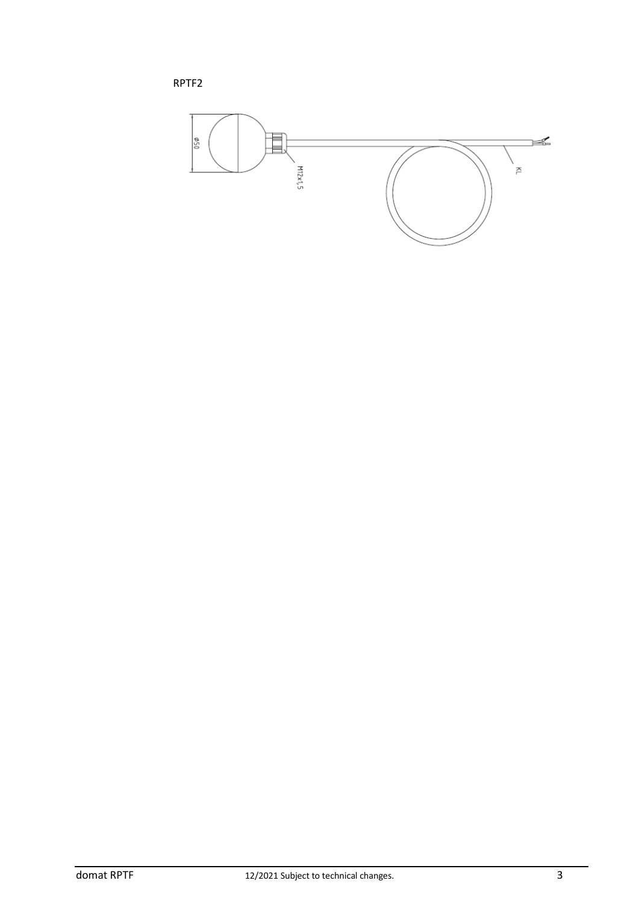RPTF2